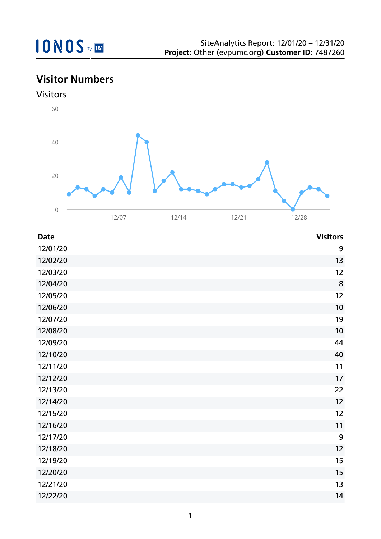## **Visitor Numbers**





| <b>Date</b> | <b>Visitors</b> |
|-------------|-----------------|
| 12/01/20    | 9               |
| 12/02/20    | 13              |
| 12/03/20    | 12              |
| 12/04/20    | 8               |
| 12/05/20    | 12              |
| 12/06/20    | 10              |
| 12/07/20    | 19              |
| 12/08/20    | 10              |
| 12/09/20    | 44              |
| 12/10/20    | 40              |
| 12/11/20    | 11              |
| 12/12/20    | 17              |
| 12/13/20    | 22              |
| 12/14/20    | 12              |
| 12/15/20    | 12              |
| 12/16/20    | 11              |
| 12/17/20    | 9               |
| 12/18/20    | 12              |
| 12/19/20    | 15              |
| 12/20/20    | 15              |
| 12/21/20    | 13              |
| 12/22/20    | 14              |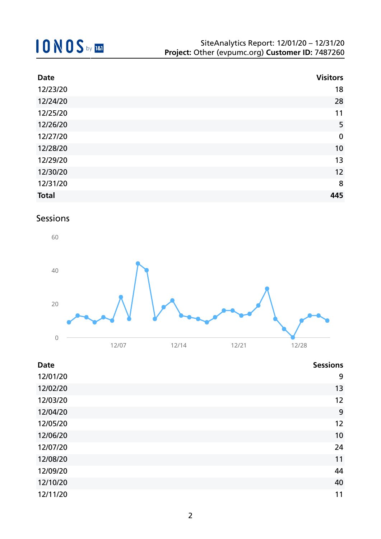| <b>Date</b>  | <b>Visitors</b>  |
|--------------|------------------|
| 12/23/20     | 18               |
| 12/24/20     | 28               |
| 12/25/20     | 11               |
| 12/26/20     | 5                |
| 12/27/20     | $\boldsymbol{0}$ |
| 12/28/20     | 10               |
| 12/29/20     | 13               |
| 12/30/20     | 12               |
| 12/31/20     | 8                |
| <b>Total</b> | 445              |

## Sessions



| <b>Date</b> | <b>Sessions</b> |
|-------------|-----------------|
| 12/01/20    | 9               |
| 12/02/20    | 13              |
| 12/03/20    | 12              |
| 12/04/20    | 9               |
| 12/05/20    | 12              |
| 12/06/20    | 10              |
| 12/07/20    | 24              |
| 12/08/20    | 11              |
| 12/09/20    | 44              |
| 12/10/20    | 40              |
| 12/11/20    | 11              |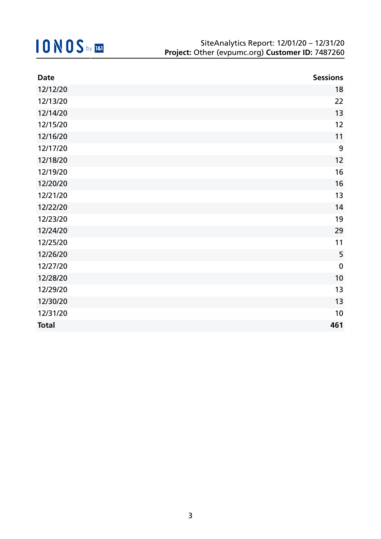| <b>Date</b>  | <b>Sessions</b> |
|--------------|-----------------|
| 12/12/20     | 18              |
| 12/13/20     | 22              |
| 12/14/20     | 13              |
| 12/15/20     | 12              |
| 12/16/20     | 11              |
| 12/17/20     | 9               |
| 12/18/20     | 12              |
| 12/19/20     | 16              |
| 12/20/20     | 16              |
| 12/21/20     | 13              |
| 12/22/20     | 14              |
| 12/23/20     | 19              |
| 12/24/20     | 29              |
| 12/25/20     | 11              |
| 12/26/20     | 5               |
| 12/27/20     | $\mathbf 0$     |
| 12/28/20     | 10              |
| 12/29/20     | 13              |
| 12/30/20     | 13              |
| 12/31/20     | 10              |
| <b>Total</b> | 461             |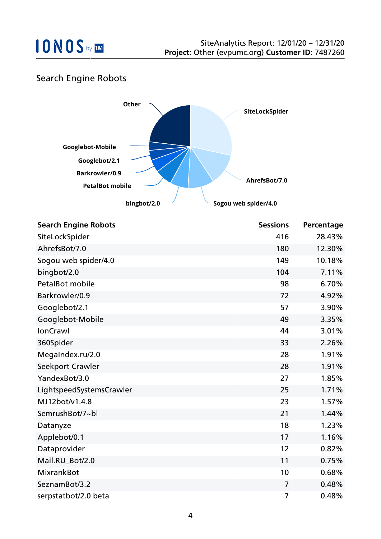

## Search Engine Robots



| <b>Search Engine Robots</b> | <b>Sessions</b> | Percentage |
|-----------------------------|-----------------|------------|
| SiteLockSpider              | 416             | 28.43%     |
| AhrefsBot/7.0               | 180             | 12.30%     |
| Sogou web spider/4.0        | 149             | 10.18%     |
| bingbot/2.0                 | 104             | 7.11%      |
| <b>PetalBot mobile</b>      | 98              | 6.70%      |
| Barkrowler/0.9              | 72              | 4.92%      |
| Googlebot/2.1               | 57              | 3.90%      |
| Googlebot-Mobile            | 49              | 3.35%      |
| <b>IonCrawl</b>             | 44              | 3.01%      |
| 360Spider                   | 33              | 2.26%      |
| MegaIndex.ru/2.0            | 28              | 1.91%      |
| Seekport Crawler            | 28              | 1.91%      |
| YandexBot/3.0               | 27              | 1.85%      |
| LightspeedSystemsCrawler    | 25              | 1.71%      |
| MJ12bot/v1.4.8              | 23              | 1.57%      |
| SemrushBot/7~bl             | 21              | 1.44%      |
| Datanyze                    | 18              | 1.23%      |
| Applebot/0.1                | 17              | 1.16%      |
| Dataprovider                | 12              | 0.82%      |
| Mail.RU Bot/2.0             | 11              | 0.75%      |
| <b>MixrankBot</b>           | 10              | 0.68%      |
| SeznamBot/3.2               | 7               | 0.48%      |
| serpstatbot/2.0 beta        | 7               | 0.48%      |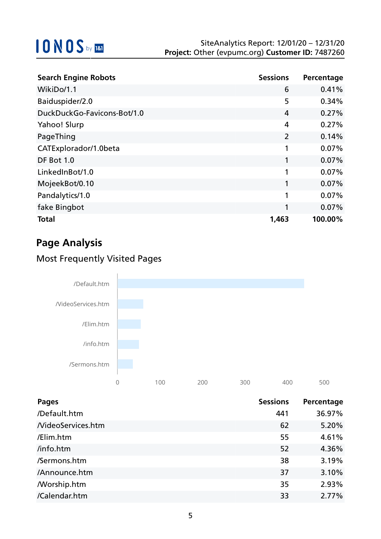| <b>Search Engine Robots</b> | <b>Sessions</b> | Percentage |
|-----------------------------|-----------------|------------|
| WikiDo/1.1                  | 6               | 0.41%      |
| Baiduspider/2.0             | 5               | 0.34%      |
| DuckDuckGo-Favicons-Bot/1.0 | 4               | 0.27%      |
| Yahoo! Slurp                | 4               | 0.27%      |
| PageThing                   | $\overline{2}$  | 0.14%      |
| CATExplorador/1.0beta       | 1               | 0.07%      |
| DF Bot 1.0                  | 1               | 0.07%      |
| LinkedInBot/1.0             | 1               | 0.07%      |
| MojeekBot/0.10              | 1               | 0.07%      |
| Pandalytics/1.0             | 1               | 0.07%      |
| fake Bingbot                | 1               | 0.07%      |
| <b>Total</b>                | 1,463           | 100.00%    |

## **Page Analysis**

## Most Frequently Visited Pages



| <b>Pages</b>       | <b>Sessions</b> | Percentage |
|--------------------|-----------------|------------|
| /Default.htm       | 441             | 36.97%     |
| NideoServices.htm  | 62              | 5.20%      |
| /Elim.htm          | 55              | 4.61%      |
| /info.htm          | 52              | 4.36%      |
| /Sermons.htm       | 38              | 3.19%      |
| /Announce.htm      | 37              | 3.10%      |
| <b>Morship.htm</b> | 35              | 2.93%      |
| /Calendar.htm      | 33              | 2.77%      |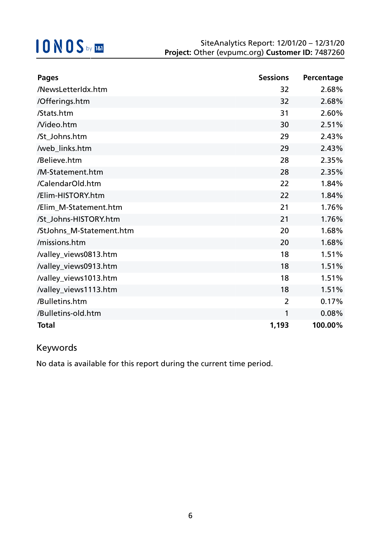| <b>Pages</b>             | <b>Sessions</b> | Percentage |
|--------------------------|-----------------|------------|
| /NewsLetterIdx.htm       | 32              | 2.68%      |
| /Offerings.htm           | 32              | 2.68%      |
| /Stats.htm               | 31              | 2.60%      |
| Nideo.htm                | 30              | 2.51%      |
| /St_Johns.htm            | 29              | 2.43%      |
| /web_links.htm           | 29              | 2.43%      |
| /Believe.htm             | 28              | 2.35%      |
| /M-Statement.htm         | 28              | 2.35%      |
| /CalendarOld.htm         | 22              | 1.84%      |
| /Elim-HISTORY.htm        | 22              | 1.84%      |
| /Elim_M-Statement.htm    | 21              | 1.76%      |
| /St_Johns-HISTORY.htm    | 21              | 1.76%      |
| /StJohns_M-Statement.htm | 20              | 1.68%      |
| /missions.htm            | 20              | 1.68%      |
| /valley_views0813.htm    | 18              | 1.51%      |
| /valley_views0913.htm    | 18              | 1.51%      |
| /valley_views1013.htm    | 18              | 1.51%      |
| /valley_views1113.htm    | 18              | 1.51%      |
| /Bulletins.htm           | $\overline{2}$  | 0.17%      |
| /Bulletins-old.htm       | 1               | 0.08%      |
| <b>Total</b>             | 1,193           | 100.00%    |

## Keywords

No data is available for this report during the current time period.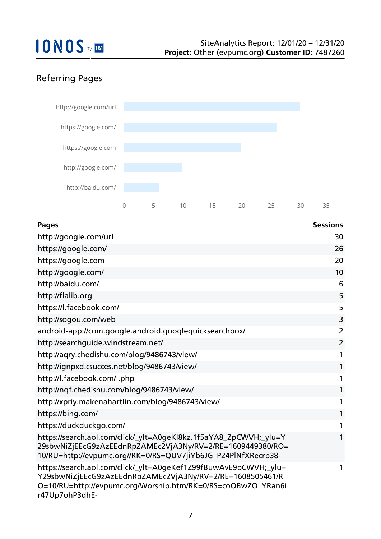## Referring Pages



| <b>Pages</b>                                                                                                                                                                                                    | <b>Sessions</b> |
|-----------------------------------------------------------------------------------------------------------------------------------------------------------------------------------------------------------------|-----------------|
| http://google.com/url                                                                                                                                                                                           | 30              |
| https://google.com/                                                                                                                                                                                             | 26              |
| https://google.com                                                                                                                                                                                              | 20              |
| http://google.com/                                                                                                                                                                                              | 10              |
| http://baidu.com/                                                                                                                                                                                               | 6               |
| http://flalib.org                                                                                                                                                                                               | 5               |
| https://l.facebook.com/                                                                                                                                                                                         | 5               |
| http://sogou.com/web                                                                                                                                                                                            | 3               |
| android-app://com.google.android.googlequicksearchbox/                                                                                                                                                          | $\overline{2}$  |
| http://searchguide.windstream.net/                                                                                                                                                                              | $\overline{2}$  |
| http://aqry.chedishu.com/blog/9486743/view/                                                                                                                                                                     | 1               |
| http://ignpxd.csucces.net/blog/9486743/view/                                                                                                                                                                    | $\mathbf{1}$    |
| http://l.facebook.com/l.php                                                                                                                                                                                     | 1               |
| http://nqf.chedishu.com/blog/9486743/view/                                                                                                                                                                      | $\mathbf{1}$    |
| http://xpriy.makenahartlin.com/blog/9486743/view/                                                                                                                                                               | $\mathbf{1}$    |
| https://bing.com/                                                                                                                                                                                               | $\mathbf{1}$    |
| https://duckduckgo.com/                                                                                                                                                                                         | 1               |
| https://search.aol.com/click/_ylt=A0geKI8kz.1f5aYA8_ZpCWVH;_ylu=Y<br>29sbwNiZjEEcG9zAzEEdnRpZAMEc2VjA3Ny/RV=2/RE=1609449380/RO=<br>10/RU=http://evpumc.org//RK=0/RS=QUV7jiYb6JG_P24PlNfXRecrp38-                | 1               |
| https://search.aol.com/click/_ylt=A0geKef1Z99fBuwAvE9pCWVH;_ylu=<br>Y29sbwNiZjEEcG9zAzEEdnRpZAMEc2VjA3Ny/RV=2/RE=1608505461/R<br>O=10/RU=http://evpumc.org/Worship.htm/RK=0/RS=coOBwZO_YRan6i<br>r47Up7ohP3dhE- | 1               |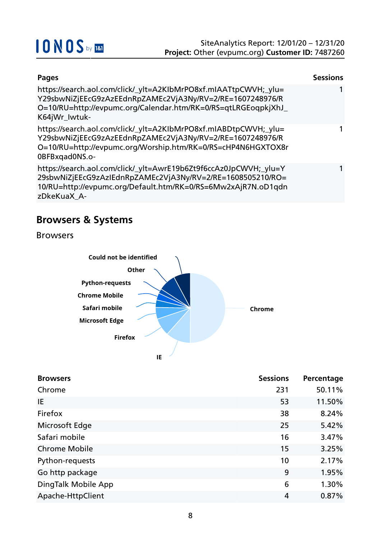

| Pages                                                                                                                                                                                                           | <b>Sessions</b> |
|-----------------------------------------------------------------------------------------------------------------------------------------------------------------------------------------------------------------|-----------------|
| https://search.aol.com/click/_ylt=A2KIbMrPO8xf.mIAATtpCWVH;_ylu=<br>Y29sbwNiZjEEcG9zAzEEdnRpZAMEc2VjA3Ny/RV=2/RE=1607248976/R<br>O=10/RU=http://evpumc.org/Calendar.htm/RK=0/RS=qtLRGEogpkjXhJ<br>K64jWr_Iwtuk- | 1               |
| https://search.aol.com/click/_ylt=A2KIbMrPO8xf.mIABDtpCWVH;_ylu=<br>Y29sbwNiZjEEcG9zAzEEdnRpZAMEc2VjA3Ny/RV=2/RE=1607248976/R<br>O=10/RU=http://evpumc.org/Worship.htm/RK=0/RS=cHP4N6HGXTOX8r<br>0BFBxqad0NS.o- |                 |
| https://search.aol.com/click/_ylt=AwrE19b6Zt9f6ccAz0JpCWVH;_ylu=Y<br>29sbwNiZjEEcG9zAzIEdnRpZAMEc2VjA3Ny/RV=2/RE=1608505210/RO=<br>10/RU=http://evpumc.org/Default.htm/RK=0/RS=6Mw2xAjR7N.oD1qdn<br>zDkeKuaX A- | 1               |

## **Browsers & Systems**

Browsers



| <b>Browsers</b>      | <b>Sessions</b> | Percentage |
|----------------------|-----------------|------------|
| Chrome               | 231             | 50.11%     |
| IE                   | 53              | 11.50%     |
| Firefox              | 38              | 8.24%      |
| Microsoft Edge       | 25              | 5.42%      |
| Safari mobile        | 16              | 3.47%      |
| <b>Chrome Mobile</b> | 15              | 3.25%      |
| Python-requests      | 10              | 2.17%      |
| Go http package      | 9               | 1.95%      |
| DingTalk Mobile App  | 6               | 1.30%      |
| Apache-HttpClient    | 4               | 0.87%      |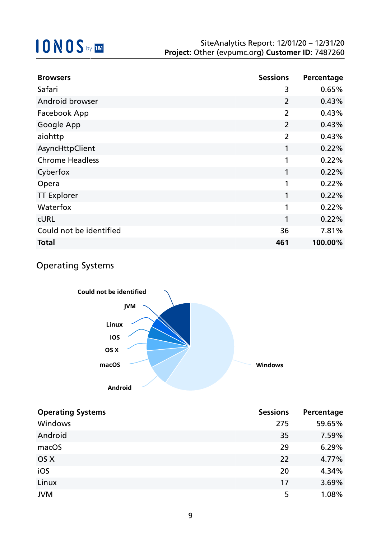| <b>Browsers</b>         | <b>Sessions</b> | Percentage |
|-------------------------|-----------------|------------|
| Safari                  | 3               | 0.65%      |
| Android browser         | $\overline{2}$  | 0.43%      |
| Facebook App            | $\overline{2}$  | 0.43%      |
| Google App              | $\overline{2}$  | 0.43%      |
| aiohttp                 | $\overline{2}$  | 0.43%      |
| AsyncHttpClient         | 1               | 0.22%      |
| <b>Chrome Headless</b>  | 1               | 0.22%      |
| Cyberfox                | 1               | 0.22%      |
| Opera                   | 1               | 0.22%      |
| <b>TT Explorer</b>      | 1               | 0.22%      |
| Waterfox                | 1               | 0.22%      |
| <b>CURL</b>             | 1               | 0.22%      |
| Could not be identified | 36              | 7.81%      |
| Total                   | 461             | 100.00%    |

## Operating Systems



| <b>Operating Systems</b> | <b>Sessions</b> | Percentage |
|--------------------------|-----------------|------------|
| Windows                  | 275             | 59.65%     |
| Android                  | 35              | 7.59%      |
| macOS                    | 29              | 6.29%      |
| OS X                     | 22              | 4.77%      |
| iOS                      | 20              | 4.34%      |
| Linux                    | 17              | 3.69%      |
| <b>JVM</b>               | 5               | 1.08%      |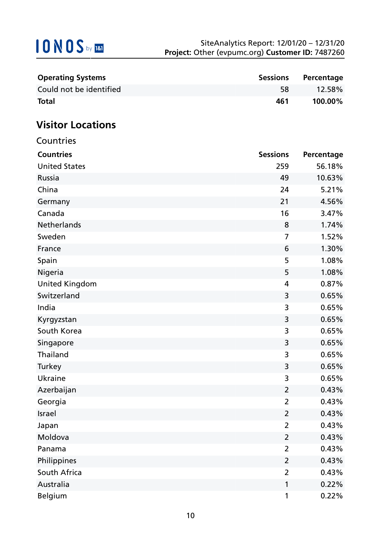| <b>Operating Systems</b> | <b>Sessions</b> | Percentage |
|--------------------------|-----------------|------------|
| Could not be identified  | 58.             | 12.58%     |
| <b>Total</b>             | 461             | 100.00%    |

## **Visitor Locations**

| Countries             |                 |            |
|-----------------------|-----------------|------------|
| <b>Countries</b>      | <b>Sessions</b> | Percentage |
| <b>United States</b>  | 259             | 56.18%     |
| Russia                | 49              | 10.63%     |
| China                 | 24              | 5.21%      |
| Germany               | 21              | 4.56%      |
| Canada                | 16              | 3.47%      |
| Netherlands           | 8               | 1.74%      |
| Sweden                | $\overline{7}$  | 1.52%      |
| France                | 6               | 1.30%      |
| Spain                 | 5               | 1.08%      |
| Nigeria               | 5               | 1.08%      |
| <b>United Kingdom</b> | 4               | 0.87%      |
| Switzerland           | 3               | 0.65%      |
| India                 | 3               | 0.65%      |
| Kyrgyzstan            | 3               | 0.65%      |
| South Korea           | 3               | 0.65%      |
| Singapore             | 3               | 0.65%      |
| Thailand              | 3               | 0.65%      |
| Turkey                | 3               | 0.65%      |
| Ukraine               | 3               | 0.65%      |
| Azerbaijan            | $\overline{2}$  | 0.43%      |
| Georgia               | $\overline{2}$  | 0.43%      |
| Israel                | $\overline{2}$  | 0.43%      |
| Japan                 | $\overline{2}$  | 0.43%      |
| Moldova               | $\overline{2}$  | 0.43%      |
| Panama                | $\overline{2}$  | 0.43%      |
| Philippines           | $\overline{2}$  | 0.43%      |
| South Africa          | 2               | 0.43%      |
| Australia             | 1               | 0.22%      |
| Belgium               | 1               | 0.22%      |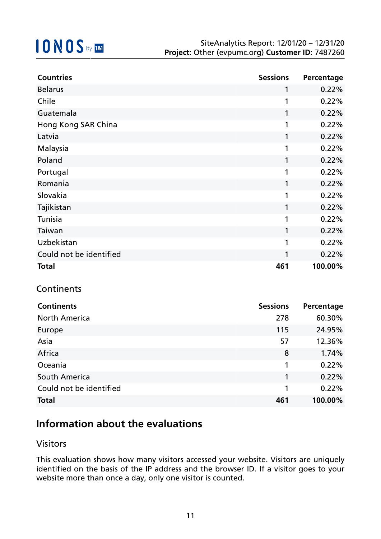| <b>Countries</b>        | <b>Sessions</b> | Percentage |
|-------------------------|-----------------|------------|
| <b>Belarus</b>          | 1               | 0.22%      |
| Chile                   | $\mathbf{1}$    | 0.22%      |
| Guatemala               | 1               | 0.22%      |
| Hong Kong SAR China     | 1               | 0.22%      |
| Latvia                  | 1               | 0.22%      |
| Malaysia                | 1               | 0.22%      |
| Poland                  | 1               | 0.22%      |
| Portugal                | 1               | 0.22%      |
| Romania                 | $\mathbf{1}$    | 0.22%      |
| Slovakia                | $\mathbf{1}$    | 0.22%      |
| Tajikistan              | $\mathbf{1}$    | 0.22%      |
| Tunisia                 | 1               | 0.22%      |
| Taiwan                  | 1               | 0.22%      |
| Uzbekistan              | $\mathbf{1}$    | 0.22%      |
| Could not be identified | $\mathbf{1}$    | 0.22%      |
| <b>Total</b>            | 461             | 100.00%    |

### **Continents**

| <b>Continents</b>       | <b>Sessions</b> | Percentage |
|-------------------------|-----------------|------------|
| <b>North America</b>    | 278             | 60.30%     |
| Europe                  | 115             | 24.95%     |
| Asia                    | 57              | 12.36%     |
| Africa                  | 8               | 1.74%      |
| Oceania                 | 1               | 0.22%      |
| South America           | 1               | 0.22%      |
| Could not be identified | 1               | 0.22%      |
| <b>Total</b>            | 461             | 100.00%    |

## **Information about the evaluations**

### Visitors

This evaluation shows how many visitors accessed your website. Visitors are uniquely identified on the basis of the IP address and the browser ID. If a visitor goes to your website more than once a day, only one visitor is counted.